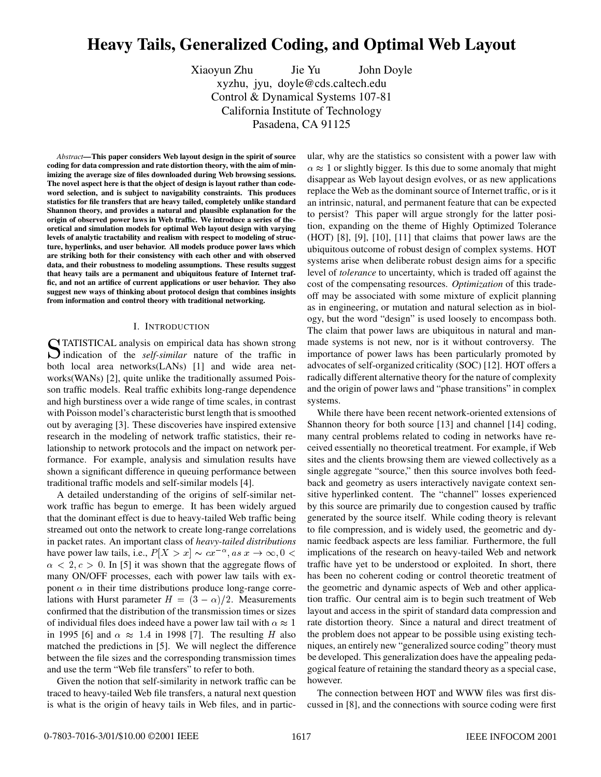# **Heavy Tails, Generalized Coding, and Optimal Web Layout**

Xiaoyun Zhu Jie Yu John Doyle xyzhu, jyu, doyle@cds.caltech.edu Control & Dynamical Systems 107-81 California Institute of Technology Pasadena, CA 91125

*Abstract***—This paper considers Web layout design in the spirit of source coding for data compression and rate distortion theory, with the aim of minimizing the average size of files downloaded during Web browsing sessions. The novel aspect here is that the object of design is layout rather than codeword selection, and is subject to navigability constraints. This produces statistics for file transfers that are heavy tailed, completely unlike standard Shannon theory, and provides a natural and plausible explanation for the origin of observed power laws in Web traffic. We introduce a series of theoretical and simulation models for optimal Web layout design with varying levels of analytic tractability and realism with respect to modeling of structure, hyperlinks, and user behavior. All models produce power laws which are striking both for their consistency with each other and with observed data, and their robustness to modeling assumptions. These results suggest that heavy tails are a permanent and ubiquitous feature of Internet traffic, and not an artifice of current applications or user behavior. They also suggest new ways of thinking about protocol design that combines insights from information and control theory with traditional networking.**

# I. INTRODUCTION

 $\bigcup$  indication of the *self-similar* nature of the traffic in TATISTICAL analysis on empirical data has shown strong both local area networks(LANs) [1] and wide area networks(WANs) [2], quite unlike the traditionally assumed Poisson traffic models. Real traffic exhibits long-range dependence and high burstiness over a wide range of time scales, in contrast with Poisson model's characteristic burst length that is smoothed out by averaging [3]. These discoveries have inspired extensive research in the modeling of network traffic statistics, their relationship to network protocols and the impact on network performance. For example, analysis and simulation results have shown a significant difference in queuing performance between traditional traffic models and self-similar models [4].

A detailed understanding of the origins of self-similar network traffic has begun to emerge. It has been widely argued that the dominant effect is due to heavy-tailed Web traffic being streamed out onto the network to create long-range correlations in packet rates. An important class of *heavy-tailed distributions* have power law tails, i.e.,  $P[X > x] \sim cx^{-\alpha}, as x \to$  $\alpha$  < 2,  $c$  > 0. In [5] it was shown that the aggregate flows of many ON/OFF processes, each with power law tails with exponent  $\alpha$  in their time distributions produce long-range correlations with Hurst parameter  $H = (3 - \alpha)/2$ . Measurements confirmed that the distribution of the transmission times or sizes of individual files does indeed have a power law tail with  $\alpha \approx 1$ in 1995 [6] and  $\alpha \approx 1.4$  in 1998 [7]. The resulting H also matched the predictions in [5]. We will neglect the difference between the file sizes and the corresponding transmission times and use the term "Web file transfers" to refer to both.

Given the notion that self-similarity in network traffic can be traced to heavy-tailed Web file transfers, a natural next question is what is the origin of heavy tails in Web files, and in particular, why are the statistics so consistent with a power law with  $\alpha \approx 1$  or slightly bigger. Is this due to some anomaly that might disappear as Web layout design evolves, or as new applications replace the Web as the dominant source of Internet traffic, or is it an intrinsic, natural, and permanent feature that can be expected to persist? This paper will argue strongly for the latter position, expanding on the theme of Highly Optimized Tolerance (HOT) [8], [9], [10], [11] that claims that power laws are the ubiquitous outcome of robust design of complex systems. HOT systems arise when deliberate robust design aims for a specific level of *tolerance* to uncertainty, which is traded off against the cost of the compensating resources. *Optimization* of this tradeoff may be associated with some mixture of explicit planning as in engineering, or mutation and natural selection as in biology, but the word "design" is used loosely to encompass both. The claim that power laws are ubiquitous in natural and manmade systems is not new, nor is it without controversy. The importance of power laws has been particularly promoted by advocates of self-organized criticality (SOC) [12]. HOT offers a radically different alternative theory for the nature of complexity and the origin of power laws and "phase transitions" in complex systems.

 $\rightarrow \infty, 0 <$  implications of the research on heavy-tailed Web and network While there have been recent network-oriented extensions of Shannon theory for both source [13] and channel [14] coding, many central problems related to coding in networks have received essentially no theoretical treatment. For example, if Web sites and the clients browsing them are viewed collectively as a single aggregate "source," then this source involves both feedback and geometry as users interactively navigate context sensitive hyperlinked content. The "channel" losses experienced by this source are primarily due to congestion caused by traffic generated by the source itself. While coding theory is relevant to file compression, and is widely used, the geometric and dynamic feedback aspects are less familiar. Furthermore, the full traffic have yet to be understood or exploited. In short, there has been no coherent coding or control theoretic treatment of the geometric and dynamic aspects of Web and other application traffic. Our central aim is to begin such treatment of Web layout and access in the spirit of standard data compression and rate distortion theory. Since a natural and direct treatment of the problem does not appear to be possible using existing techniques, an entirely new "generalized source coding" theory must be developed. This generalization does have the appealing pedagogical feature of retaining the standard theory as a special case, however.

> The connection between HOT and WWW files was first discussed in [8], and the connections with source coding were first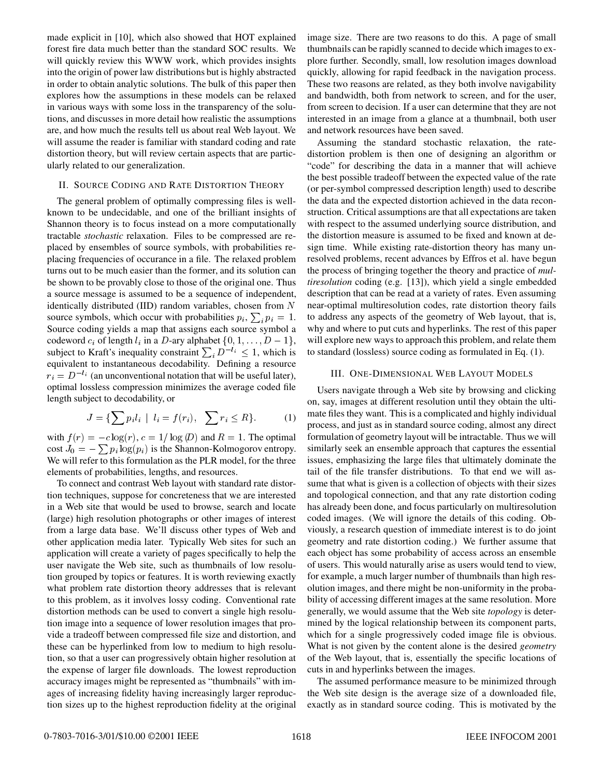made explicit in [10], which also showed that HOT explained forest fire data much better than the standard SOC results. We will quickly review this WWW work, which provides insights into the origin of power law distributions but is highly abstracted in order to obtain analytic solutions. The bulk of this paper then explores how the assumptions in these models can be relaxed in various ways with some loss in the transparency of the solutions, and discusses in more detail how realistic the assumptions are, and how much the results tell us about real Web layout. We will assume the reader is familiar with standard coding and rate distortion theory, but will review certain aspects that are particularly related to our generalization.

### II. SOURCE CODING AND RATE DISTORTION THEORY

The general problem of optimally compressing files is wellknown to be undecidable, and one of the brilliant insights of Shannon theory is to focus instead on a more computationally tractable *stochastic* relaxation. Files to be compressed are replaced by ensembles of source symbols, with probabilities replacing frequencies of occurance in a file. The relaxed problem turns out to be much easier than the former, and its solution can be shown to be provably close to those of the original one. Thus a source message is assumed to be a sequence of independent, identically distributed (IID) random variables, chosen from <sup>N</sup> source symbols, which occur with probabilities  $p_i$ ,  $\sum_i p_i = 1$ . to address Source coding yields a map that assigns each source symbol a codeword  $c_i$  of length  $l_i$  in a D-ary alphabet  $\{0, 1, \ldots, D - 1\},\$ subject to Kraft's inequality constraint  $\sum_i D^{-l_i} \leq 1$ , which is equivalent to instantaneous decodability. Defining a resource  $r_i = D^{-l_i}$  (an unconventional notation that will be useful later), optimal lossless compression minimizes the average coded file length subject to decodability, or

$$
J = \{ \sum p_i l_i \mid l_i = f(r_i), \sum r_i \le R \}. \tag{1}
$$

with  $f(r) = -c \log(r)$ ,  $c = 1/\log (D)$  and  $R = 1$ . The optimal cost  $J_0 = -\sum p_i \log(p_i)$  is the Shannon-Kolmogorov entropy. We will refer to this formulation as the PLR model, for the three elements of probabilities, lengths, and resources.

To connect and contrast Web layout with standard rate distortion techniques, suppose for concreteness that we are interested in a Web site that would be used to browse, search and locate (large) high resolution photographs or other images of interest from a large data base. We'll discuss other types of Web and other application media later. Typically Web sites for such an application will create a variety of pages specifically to help the user navigate the Web site, such as thumbnails of low resolution grouped by topics or features. It is worth reviewing exactly what problem rate distortion theory addresses that is relevant to this problem, as it involves lossy coding. Conventional rate distortion methods can be used to convert a single high resolution image into a sequence of lower resolution images that provide a tradeoff between compressed file size and distortion, and these can be hyperlinked from low to medium to high resolution, so that a user can progressively obtain higher resolution at the expense of larger file downloads. The lowest reproduction accuracy images might be represented as "thumbnails" with images of increasing fidelity having increasingly larger reproduction sizes up to the highest reproduction fidelity at the original image size. There are two reasons to do this. A page of small thumbnails can be rapidly scanned to decide which images to explore further. Secondly, small, low resolution images download quickly, allowing for rapid feedback in the navigation process. These two reasons are related, as they both involve navigability and bandwidth, both from network to screen, and for the user, from screen to decision. If a user can determine that they are not interested in an image from a glance at a thumbnail, both user and network resources have been saved.

Assuming the standard stochastic relaxation, the ratedistortion problem is then one of designing an algorithm or "code" for describing the data in a manner that will achieve the best possible tradeoff between the expected value of the rate (or per-symbol compressed description length) used to describe the data and the expected distortion achieved in the data reconstruction. Critical assumptions are that all expectations are taken with respect to the assumed underlying source distribution, and the distortion measure is assumed to be fixed and known at design time. While existing rate-distortion theory has many unresolved problems, recent advances by Effros et al. have begun the process of bringing together the theory and practice of *multiresolution* coding (e.g. [13]), which yield a single embedded description that can be read at a variety of rates. Even assuming near-optimal multiresolution codes, rate distortion theory fails to address any aspects of the geometry of Web layout, that is, why and where to put cuts and hyperlinks. The rest of this paper will explore new ways to approach this problem, and relate them to standard (lossless) source coding as formulated in Eq. (1).

### III. ONE-DIMENSIONAL WEB LAYOUT MODELS

Users navigate through a Web site by browsing and clicking on, say, images at different resolution until they obtain the ultimate files they want. This is a complicated and highly individual process, and just as in standard source coding, almost any direct formulation of geometry layout will be intractable. Thus we will similarly seek an ensemble approach that captures the essential issues, emphasizing the large files that ultimately dominate the tail of the file transfer distributions. To that end we will assume that what is given is a collection of objects with their sizes and topological connection, and that any rate distortion coding has already been done, and focus particularly on multiresolution coded images. (We will ignore the details of this coding. Obviously, a research question of immediate interest is to do joint geometry and rate distortion coding.) We further assume that each object has some probability of access across an ensemble of users. This would naturally arise as users would tend to view, for example, a much larger number of thumbnails than high resolution images, and there might be non-uniformity in the probability of accessing different images at the same resolution. More generally, we would assume that the Web site *topology* is determined by the logical relationship between its component parts, which for a single progressively coded image file is obvious. What is not given by the content alone is the desired *geometry* of the Web layout, that is, essentially the specific locations of cuts in and hyperlinks between the images.

The assumed performance measure to be minimized through the Web site design is the average size of a downloaded file, exactly as in standard source coding. This is motivated by the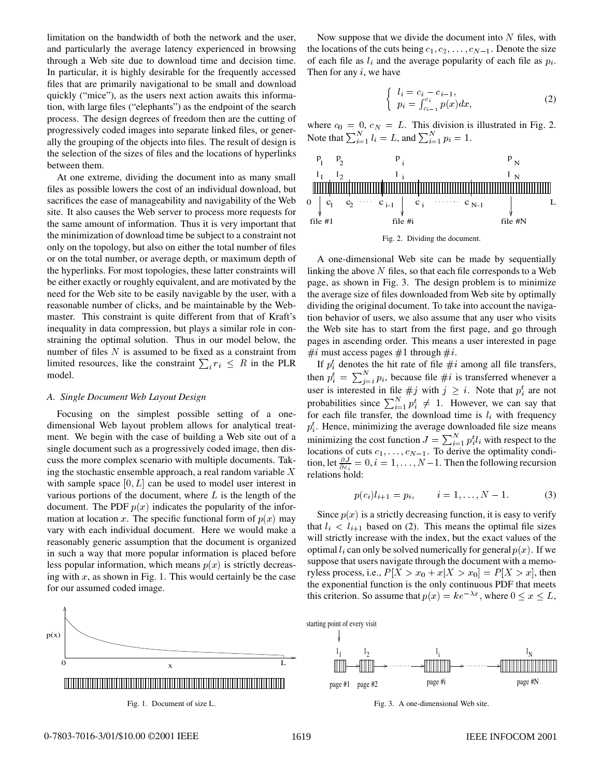limitation on the bandwidth of both the network and the user, and particularly the average latency experienced in browsing through a Web site due to download time and decision time. In particular, it is highly desirable for the frequently accessed files that are primarily navigational to be small and download quickly ("mice"), as the users next action awaits this information, with large files ("elephants") as the endpoint of the search process. The design degrees of freedom then are the cutting of progressively coded images into separate linked files, or generally the grouping of the objects into files. The result of design is the selection of the sizes of files and the locations of hyperlinks between them.

At one extreme, dividing the document into as many small files as possible lowers the cost of an individual download, but sacrifices the ease of manageability and navigability of the Web site. It also causes the Web server to process more requests for the same amount of information. Thus it is very important that the minimization of download time be subject to a constraint not only on the topology, but also on either the total number of files or on the total number, or average depth, or maximum depth of the hyperlinks. For most topologies, these latter constraints will be either exactly or roughly equivalent, and are motivated by the need for the Web site to be easily navigable by the user, with a reasonable number of clicks, and be maintainable by the Webmaster. This constraint is quite different from that of Kraft's inequality in data compression, but plays a similar role in constraining the optimal solution. Thus in our model below, the number of files  $N$  is assumed to be fixed as a constraint from limited resources, like the constraint  $\sum_i r_i \leq R$  in the PLR model.

#### *A. Single Document Web Layout Design*

Focusing on the simplest possible setting of a onedimensional Web layout problem allows for analytical treatment. We begin with the case of building a Web site out of a single document such as a progressively coded image, then discuss the more complex scenario with multiple documents. Taking the stochastic ensemble approach, a real random variable  $X$ with sample space  $[0, L]$  can be used to model user interest in various portions of the document, where  $L$  is the length of the document. The PDF  $p(x)$  indicates the popularity of the information at location x. The specific functional form of  $p(x)$  may vary with each individual document. Here we would make a reasonably generic assumption that the document is organized in such a way that more popular information is placed before less popular information, which means  $p(x)$  is strictly decreasing with  $x$ , as shown in Fig. 1. This would certainly be the case for our assumed coded image.



Now suppose that we divide the document into  $N$  files, with the locations of the cuts being  $c_1, c_2, \ldots, c_{N-1}$ . Denote the size of each file as  $l_i$  and the average popularity of each file as  $p_i$ . Then for any  $i$ , we have

$$
\begin{cases}\n l_i = c_i - c_{i-1}, \\
p_i = \int_{c_{i-1}}^{c_i} p(x) dx,\n\end{cases}
$$
\n(2)

where  $c_0 = 0$ ,  $c_N = L$ . This division is illustrated in Fig. 2. Note that  $\sum_{i=1}^{N} l_i = L$ , and  $\sum_{i=1}^{N} p_i = 1$ . i=1

i=1



Fig. 2. Dividing the document.

A one-dimensional Web site can be made by sequentially linking the above  $N$  files, so that each file corresponds to a Web page, as shown in Fig. 3. The design problem is to minimize the average size of files downloaded from Web site by optimally dividing the original document. To take into account the navigation behavior of users, we also assume that any user who visits the Web site has to start from the first page, and go through pages in ascending order. This means a user interested in page #*i* must access pages #1 through #*i*.

If  $p_i^t$  denotes the hit rate of file  $\#i$  among all file transfers, then  $p_i^t = \sum_{j=i}^{N} p_i$ , because file #*i* is transferred whenever a user is interested in file  $\# j$  with  $j \geq i$ . Note that  $p_i^t$  are not probabilities since  $\sum_{i=1}^{N} p_i^t \neq 1$ . However, we can say that for each file transfer, the download time is  $l_i$  with frequency  $p_i^t$ . Hence, minimizing the average downloaded file size means minimizing the cost function  $J = \sum_{i=1}^{N} p_i^t l_i$  with respect to the locations of cuts  $c_1$ ,  $\ldots$ ,  $c_{N-1}$ . To derive the optimality condition, let  $\frac{\partial J}{\partial c_i} = 0, i = 1, \ldots, N-1$ . Then the following recursion relations hold:

$$
p(c_i)l_{i+1} = p_i, \qquad i = 1, \dots, N-1.
$$
 (3)

Since  $p(x)$  is a strictly decreasing function, it is easy to verify that  $l_i < l_{i+1}$  based on (2). This means the optimal file sizes will strictly increase with the index, but the exact values of the optimal  $l_i$  can only be solved numerically for general  $p(x)$ . If we suppose that users navigate through the document with a memoryless process, i.e.,  $P[X > x_0 + x | X > x_0] = P[X > x]$ , then the exponential function is the only continuous PDF that meets this criterion. So assume that  $p(x) = ke^{-\lambda x}$ , where  $0 \le x \le L$ ,



Fig. 3. A one-dimensional Web site.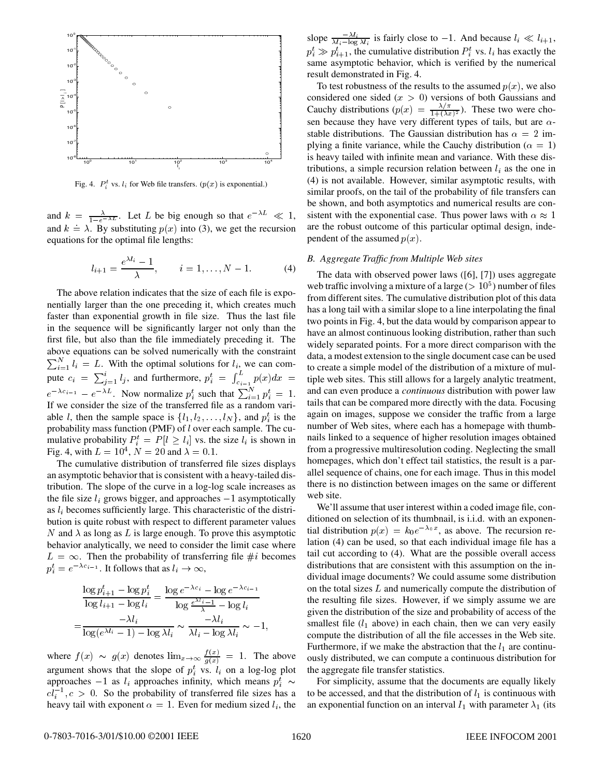

Fig. 4.  $P_i^t$  vs.  $l_i$  for Web file transfers.  $(p(x))$  is exponential.)

and  $k = \frac{\lambda}{1 - e^{-\lambda L}}$ . Let L be big enough so that  $e^{-\lambda L} \ll 1$ , sistent with and  $k = \lambda$ . By substituting  $p(x)$  into (3), we get the recursion equations for the optimal file lengths:

$$
l_{i+1} = \frac{e^{\lambda l_i} - 1}{\lambda}, \qquad i = 1, \dots, N - 1.
$$
 (4)

The above relation indicates that the size of each file is exponentially larger than the one preceding it, which creates much faster than exponential growth in file size. Thus the last file in the sequence will be significantly larger not only than the first file, but also than the file immediately preceding it. The above equations can be solved numerically with the constraint  $\sum_{i=1}^{N} l_i = L$ . With the optimal solutions for  $l_i$ , we can compute  $c_i = \sum_{j=1}^i l_j$ , and furthermore,  $p_i^t = \int_{c_{i-1}}^L p(x) dx =$  tiple web si  $e^{-\lambda c_{i-1}} - e^{-\lambda L}$ . Now normalize  $p_i^t$  such that  $\sum_{i=1}^N p_i^t = 1$ . and can If we consider the size of the transferred file as a random variable l, then the sample space is  $\{l_1, l_2, \ldots, l_N\}$ , and  $p_i^t$  is the probability mass function (PMF) of <sup>l</sup> over each sample. The cumulative probability  $P_i^t = P[l \ge l_i]$  vs. the size  $l_i$  is shown in Fig. 4, with  $L = 10^4$ ,  $N = 20$  and  $\lambda = 0.1$ .

The cumulative distribution of transferred file sizes displays an asymptotic behavior that is consistent with a heavy-tailed distribution. The slope of the curve in a log-log scale increases as the file size  $l_i$  grows bigger, and approaches  $-1$  asymptotically as  $l_i$  becomes sufficiently large. This characteristic of the distribution is quite robust with respect to different parameter values N and  $\lambda$  as long as L is large enough. To prove this asymptotic behavior analytically, we need to consider the limit case where  $L = \infty$ . Then the probability of transferring file  $\#i$  becomes  $p_i^t = e^{-\lambda c_{i-1}}.$  It follows that as  $l_i \rightarrow \infty,$ 

$$
\frac{\log p_{i+1}^t - \log p_i^t}{\log l_{i+1} - \log l_i} = \frac{\log e^{-\lambda c_i} - \log e^{-\lambda c_{i-1}}}{\log \frac{e^{\lambda l_i} - 1}{\lambda} - \log l_i}
$$

$$
= \frac{-\lambda l_i}{\log (e^{\lambda l_i} - 1) - \log \lambda l_i} \sim \frac{-\lambda l_i}{\lambda l_i - \log \lambda l_i} \sim -1,
$$

where  $f(x) \sim g(x)$  denotes  $\lim_{x \to \infty} \frac{f(x)}{g(x)} = 1$ . T  $\frac{f(x)}{g(x)} = 1$ . The above argument shows that the slope of  $p_i^t$  vs.  $l_i$  on a log-log plot approaches  $-1$  as  $l_i$  approaches infinity, which means  $p_i^t \sim$  $cl_i^{-1}, c > 0$ . So the probability of transferred file sizes has a heavy tail with exponent  $\alpha = 1$ . Even for medium sized  $l_i$ , the

slope  $\frac{-\lambda l_i}{\lambda l_i - \log \lambda l_i}$  is fairly close to  $-1$ . And because  $l_i \ll l_{i+1}$ ,  $p_i^t \gg p_{i+1}^t$ , the cumulative distribution  $P_i^t$  vs.  $l_i$  has exactly the same asymptotic behavior, which is verified by the numerical result demonstrated in Fig. 4.

To test robustness of the results to the assumed  $p(x)$ , we also considered one sided  $(x > 0)$  versions of both Gaussians and Cauchy distributions  $(p(x) = \frac{\lambda/\pi}{1 + (\lambda x)^2})$ . These two were chosen because they have very different types of tails, but are  $\alpha$ stable distributions. The Gaussian distribution has  $\alpha = 2$  implying a finite variance, while the Cauchy distribution ( $\alpha = 1$ ) is heavy tailed with infinite mean and variance. With these distributions, a simple recursion relation between  $l_i$  as the one in (4) is not available. However, similar asymptotic results, with similar proofs, on the tail of the probability of file transfers can be shown, and both asymptotics and numerical results are consistent with the exponential case. Thus power laws with  $\alpha \approx 1$ are the robust outcome of this particular optimal design, independent of the assumed  $p(x)$ .

### *B. Aggregate Traffic from Multiple Web sites*

The data with observed power laws ([6], [7]) uses aggregate web traffic involving a mixture of a large ( $>10<sup>5</sup>$ ) number of files from different sites. The cumulative distribution plot of this data has a long tail with a similar slope to a line interpolating the final two points in Fig. 4, but the data would by comparison appear to have an almost continuous looking distribution, rather than such widely separated points. For a more direct comparison with the data, a modest extension to the single document case can be used to create a simple model of the distribution of a mixture of multiple web sites. This still allows for a largely analytic treatment, and can even produce a *continuous* distribution with power law tails that can be compared more directly with the data. Focusing again on images, suppose we consider the traffic from a large number of Web sites, where each has a homepage with thumbnails linked to a sequence of higher resolution images obtained from a progressive multiresolution coding. Neglecting the small homepages, which don't effect tail statistics, the result is a parallel sequence of chains, one for each image. Thus in this model there is no distinction between images on the same or different web site.

We'll assume that user interest within a coded image file, conditioned on selection of its thumbnail, is i.i.d. with an exponential distribution  $p(x) = k_0 e^{-\lambda_0 x}$ , as above. The recursion relation (4) can be used, so that each individual image file has a tail cut according to (4). What are the possible overall access distributions that are consistent with this assumption on the individual image documents? We could assume some distribution on the total sizes  $L$  and numerically compute the distribution of the resulting file sizes. However, if we simply assume we are given the distribution of the size and probability of access of the smallest file  $(l_1$  above) in each chain, then we can very easily compute the distribution of all the file accesses in the Web site. Furthermore, if we make the abstraction that the  $l_1$  are continuously distributed, we can compute a continuous distribution for the aggregate file transfer statistics.

 $\sim$  For simplicity, assume that the documents are equally likely to be accessed, and that the distribution of  $l_1$  is continuous with an exponential function on an interval  $I_1$  with parameter  $\lambda_1$  (its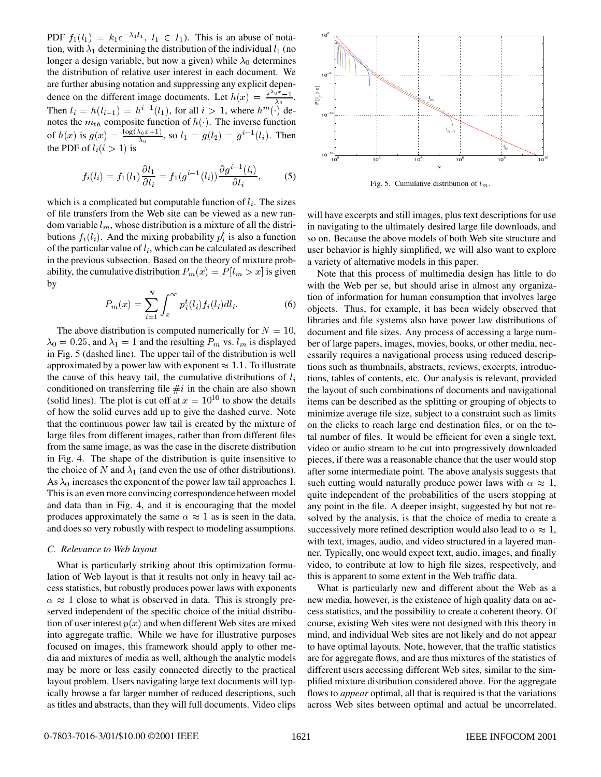PDF  $f_1(l_1) = k_1 e^{-\lambda_1 l_1}$ ,  $l_1 \in I_1$ ). This is an abuse of notation, with  $\lambda_1$  determining the distribution of the individual  $l_1$  (no longer a design variable, but now a given) while  $\lambda_0$  determines the distribution of relative user interest in each document. We are further abusing notation and suppressing any explicit dependence on the different image documents. Let  $h(x) = \frac{e^{x}e^{x}-1}{\lambda e}$ . Then  $l_i = h(l_{i-1}) = h^{i-1}(l_1)$ , for all  $i > 1$ , where  $h^m(\cdot)$  denotes the  $m_{th}$  composite function of  $h(\cdot)$ . The inverse function of  $h(x)$  is  $g(x) = \frac{\log(\lambda_0 x + 1)}{\lambda_0}$ , so  $l_1 = g(l_2) = g^{i-1}(l_i)$ . Then the PDF of  $l_i(i>1)$  is

$$
f_i(l_i) = f_1(l_1) \frac{\partial l_1}{\partial l_i} = f_1(g^{i-1}(l_i)) \frac{\partial g^{i-1}(l_i)}{\partial l_i},\tag{5}
$$

which is a complicated but computable function of  $l_i$ . The sizes of file transfers from the Web site can be viewed as a new random variable  $l_m$ , whose distribution is a mixture of all the distributions  $f_i(l_i)$ . And the mixing probability  $p_i^t$  is also a function iof the particular value of  $l_i$ , which can be calculated as described in the previous subsection. Based on the theory of mixture probability, the cumulative distribution  $P_m(x) = P | l_m > x |$  is given by

$$
P_m(x) = \sum_{i=1}^{N} \int_x^{\infty} p_i^t(l_i) f_i(l_i) dl_i.
$$
 (6)

The above distribution is computed numerically for  $N = 10$ ,  $\lambda_0 = 0.25$ , and  $\lambda_1 = 1$  and the resulting  $P_m$  vs.  $l_m$  is displayed in Fig. 5 (dashed line). The upper tail of the distribution is well approximated by a power law with exponent  $\approx 1.1$ . To illustrate the cause of this heavy tail, the cumulative distributions of  $l_i$ conditioned on transferring file  $\#i$  in the chain are also shown (solid lines). The plot is cut off at  $x = 10^{10}$  to show the details of how the solid curves add up to give the dashed curve. Note that the continuous power law tail is created by the mixture of large files from different images, rather than from different files from the same image, as was the case in the discrete distribution in Fig. 4. The shape of the distribution is quite insensitive to the choice of N and  $\lambda_1$  (and even the use of other distributions). As  $\lambda_0$  increases the exponent of the power law tail approaches 1. This is an even more convincing correspondence between model and data than in Fig. 4, and it is encouraging that the model produces approximately the same  $\alpha \approx 1$  as is seen in the data, and does so very robustly with respect to modeling assumptions.

## *C. Relevance to Web layout*

What is particularly striking about this optimization formulation of Web layout is that it results not only in heavy tail access statistics, but robustly produces power laws with exponents  $\alpha \approx 1$  close to what is observed in data. This is strongly preserved independent of the specific choice of the initial distribution of user interest  $p(x)$  and when different Web sites are mixed into aggregate traffic. While we have for illustrative purposes focused on images, this framework should apply to other media and mixtures of media as well, although the analytic models may be more or less easily connected directly to the practical layout problem. Users navigating large text documents will typically browse a far larger number of reduced descriptions, such as titles and abstracts, than they will full documents. Video clips



Fig. 5. Cumulative distribution of  $l_m$ .

will have excerpts and still images, plus text descriptions for use in navigating to the ultimately desired large file downloads, and so on. Because the above models of both Web site structure and user behavior is highly simplified, we will also want to explore a variety of alternative models in this paper.

Note that this process of multimedia design has little to do with the Web per se, but should arise in almost any organization of information for human consumption that involves large objects. Thus, for example, it has been widely observed that libraries and file systems also have power law distributions of document and file sizes. Any process of accessing a large number of large papers, images, movies, books, or other media, necessarily requires a navigational process using reduced descriptions such as thumbnails, abstracts, reviews, excerpts, introductions, tables of contents, etc. Our analysis is relevant, provided the layout of such combinations of documents and navigational items can be described as the splitting or grouping of objects to minimize average file size, subject to a constraint such as limits on the clicks to reach large end destination files, or on the total number of files. It would be efficient for even a single text, video or audio stream to be cut into progressively downloaded pieces, if there was a reasonable chance that the user would stop after some intermediate point. The above analysis suggests that such cutting would naturally produce power laws with  $\alpha \approx 1$ , quite independent of the probabilities of the users stopping at any point in the file. A deeper insight, suggested by but not resolved by the analysis, is that the choice of media to create a successively more refined description would also lead to  $\alpha \approx 1$ , with text, images, audio, and video structured in a layered manner. Typically, one would expect text, audio, images, and finally video, to contribute at low to high file sizes, respectively, and this is apparent to some extent in the Web traffic data.

What is particularly new and different about the Web as a new media, however, is the existence of high quality data on access statistics, and the possibility to create a coherent theory. Of course, existing Web sites were not designed with this theory in mind, and individual Web sites are not likely and do not appear to have optimal layouts. Note, however, that the traffic statistics are for aggregate flows, and are thus mixtures of the statistics of different users accessing different Web sites, similar to the simplified mixture distribution considered above. For the aggregate flows to *appear* optimal, all that is required is that the variations across Web sites between optimal and actual be uncorrelated.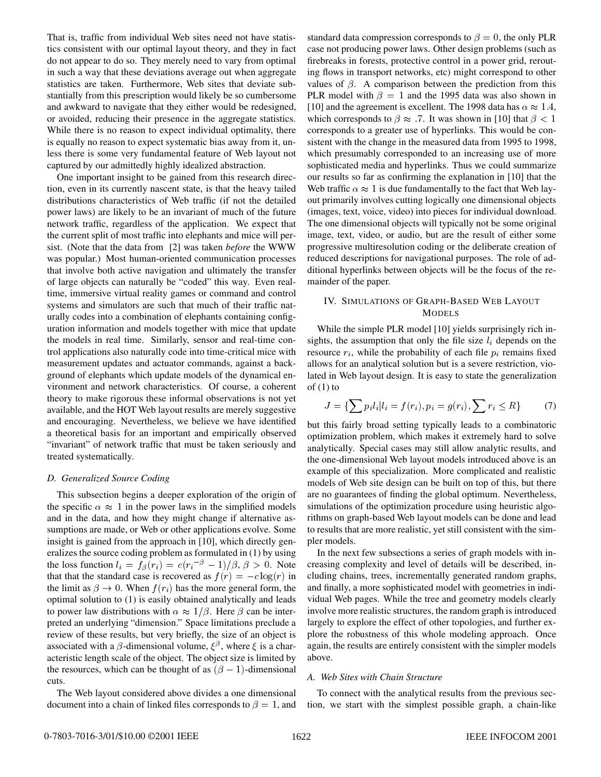That is, traffic from individual Web sites need not have statistics consistent with our optimal layout theory, and they in fact do not appear to do so. They merely need to vary from optimal in such a way that these deviations average out when aggregate statistics are taken. Furthermore, Web sites that deviate substantially from this prescription would likely be so cumbersome and awkward to navigate that they either would be redesigned, or avoided, reducing their presence in the aggregate statistics. While there is no reason to expect individual optimality, there is equally no reason to expect systematic bias away from it, unless there is some very fundamental feature of Web layout not captured by our admittedly highly idealized abstraction.

One important insight to be gained from this research direction, even in its currently nascent state, is that the heavy tailed distributions characteristics of Web traffic (if not the detailed power laws) are likely to be an invariant of much of the future network traffic, regardless of the application. We expect that the current split of most traffic into elephants and mice will persist. (Note that the data from [2] was taken *before* the WWW was popular.) Most human-oriented communication processes that involve both active navigation and ultimately the transfer of large objects can naturally be "coded" this way. Even realtime, immersive virtual reality games or command and control systems and simulators are such that much of their traffic naturally codes into a combination of elephants containing configuration information and models together with mice that update the models in real time. Similarly, sensor and real-time control applications also naturally code into time-critical mice with measurement updates and actuator commands, against a background of elephants which update models of the dynamical environment and network characteristics. Of course, a coherent theory to make rigorous these informal observations is not yet available, and the HOT Web layout results are merely suggestive and encouraging. Nevertheless, we believe we have identified a theoretical basis for an important and empirically observed "invariant" of network traffic that must be taken seriously and treated systematically.

### *D. Generalized Source Coding*

This subsection begins a deeper exploration of the origin of the specific  $\alpha \approx 1$  in the power laws in the simplified models and in the data, and how they might change if alternative assumptions are made, or Web or other applications evolve. Some insight is gained from the approach in [10], which directly generalizes the source coding problem as formulated in (1) by using the loss function  $l_i = f_\beta(r_i) = c(r_i^{-\beta} - 1)/\beta, \beta > 0$ . Note that that the standard case is recovered as  $f(r) = -c \log(r)$  in the limit as  $\beta \to 0$ . When  $f(r_i)$  has the more general form, the optimal solution to (1) is easily obtained analytically and leads to power law distributions with  $\alpha \approx 1/\beta$ . Here  $\beta$  can be interpreted an underlying "dimension." Space limitations preclude a review of these results, but very briefly, the size of an object is associated with a  $\beta$ -dimensional volume,  $\xi^{\beta}$ , where  $\xi$  is a characteristic length scale of the object. The object size is limited by the resources, which can be thought of as  $(\beta - 1)$ -dimensional cuts.

The Web layout considered above divides a one dimensional document into a chain of linked files corresponds to  $\beta = 1$ , and standard data compression corresponds to  $\beta = 0$ , the only PLR case not producing power laws. Other design problems (such as firebreaks in forests, protective control in a power grid, rerouting flows in transport networks, etc) might correspond to other values of  $\beta$ . A comparison between the prediction from this PLR model with  $\beta = 1$  and the 1995 data was also shown in [10] and the agreement is excellent. The 1998 data has  $\alpha \approx 1.4$ , which corresponds to  $\beta \approx .7$ . It was shown in [10] that  $\beta < 1$ corresponds to a greater use of hyperlinks. This would be consistent with the change in the measured data from 1995 to 1998, which presumably corresponded to an increasing use of more sophisticated media and hyperlinks. Thus we could summarize our results so far as confirming the explanation in [10] that the Web traffic  $\alpha \approx 1$  is due fundamentally to the fact that Web layout primarily involves cutting logically one dimensional objects (images, text, voice, video) into pieces for individual download. The one dimensional objects will typically not be some original image, text, video, or audio, but are the result of either some progressive multiresolution coding or the deliberate creation of reduced descriptions for navigational purposes. The role of additional hyperlinks between objects will be the focus of the remainder of the paper.

# IV. SIMULATIONS OF GRAPH-BASED WEB LAYOUT MODELS

While the simple PLR model [10] yields surprisingly rich insights, the assumption that only the file size  $l_i$  depends on the resource  $r_i$ , while the probability of each file  $p_i$  remains fixed allows for an analytical solution but is a severe restriction, violated in Web layout design. It is easy to state the generalization of  $(1)$  to

$$
J = \{ \sum p_i l_i | l_i = f(r_i), p_i = g(r_i), \sum r_i \le R \}
$$
 (7)

but this fairly broad setting typically leads to a combinatoric optimization problem, which makes it extremely hard to solve analytically. Special cases may still allow analytic results, and the one-dimensional Web layout models introduced above is an example of this specialization. More complicated and realistic models of Web site design can be built on top of this, but there are no guarantees of finding the global optimum. Nevertheless, simulations of the optimization procedure using heuristic algorithms on graph-based Web layout models can be done and lead to results that are more realistic, yet still consistent with the simpler models.

In the next few subsections a series of graph models with increasing complexity and level of details will be described, including chains, trees, incrementally generated random graphs, and finally, a more sophisticated model with geometries in individual Web pages. While the tree and geometry models clearly involve more realistic structures, the random graph is introduced largely to explore the effect of other topologies, and further explore the robustness of this whole modeling approach. Once again, the results are entirely consistent with the simpler models above.

#### *A. Web Sites with Chain Structure*

To connect with the analytical results from the previous section, we start with the simplest possible graph, a chain-like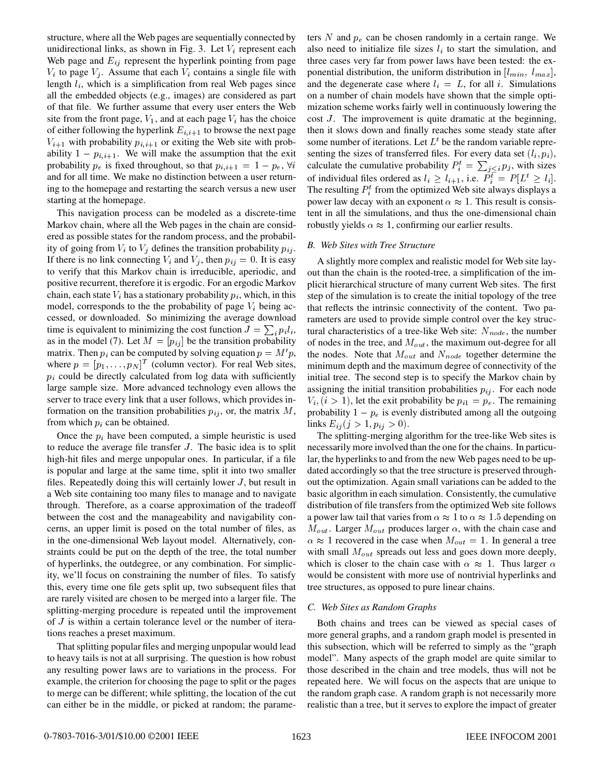structure, where all the Web pages are sequentially connected by unidirectional links, as shown in Fig. 3. Let  $V_i$  represent each Web page and  $E_{ij}$  represent the hyperlink pointing from page  $V_i$  to page  $V_j$ . Assume that each  $V_i$  contains a single file with length  $l_i$ , which is a simplification from real Web pages since all the embedded objects (e.g., images) are considered as part of that file. We further assume that every user enters the Web site from the front page,  $V_1$ , and at each page  $V_i$  has the choice of either following the hyperlink  $E_{i,i+1}$  to browse the next page  $V_{i+1}$  with probability  $p_{i,i+1}$  or exiting the Web site with probability  $1 - p_{i,i+1}$ . We will make the assumption that the exit probability  $p_e$  is fixed throughout, so that  $p_{i,i+1} = 1 - p_e, \forall i$ and for all time. We make no distinction between a user returning to the homepage and restarting the search versus a new user starting at the homepage.

This navigation process can be modeled as a discrete-time Markov chain, where all the Web pages in the chain are considered as possible states for the random process, and the probability of going from  $V_i$  to  $V_j$  defines the transition probability  $p_{ij}$ . If there is no link connecting  $V_i$  and  $V_j$ , then  $p_{ij} = 0$ . It is easy to verify that this Markov chain is irreducible, aperiodic, and positive recurrent, therefore it is ergodic. For an ergodic Markov chain, each state  $V_i$  has a stationary probability  $p_i$ , which, in this model, corresponds to the the probability of page  $V_i$  being accessed, or downloaded. So minimizing the average download time is equivalent to minimizing the cost function  $J = \sum_i p_i l_i$ , tural chara as in the model (7). Let  $M = [p_{ij}]$  be the transition probability matrix. Then  $p_i$  can be computed by solving equation  $p = M'p$ , where  $p = [p_1, \ldots, p_N]^T$  (column vector). For real Web sites,  $p_i$  could be directly calculated from log data with sufficiently large sample size. More advanced technology even allows the server to trace every link that a user follows, which provides information on the transition probabilities  $p_{ij}$ , or, the matrix M, from which  $p_i$  can be obtained.

Once the  $p_i$  have been computed, a simple heuristic is used to reduce the average file transfer  $J$ . The basic idea is to split high-hit files and merge unpopular ones. In particular, if a file is popular and large at the same time, split it into two smaller files. Repeatedly doing this will certainly lower  $J$ , but result in a Web site containing too many files to manage and to navigate through. Therefore, as a coarse approximation of the tradeoff between the cost and the manageability and navigability concerns, an upper limit is posed on the total number of files, as in the one-dimensional Web layout model. Alternatively, constraints could be put on the depth of the tree, the total number of hyperlinks, the outdegree, or any combination. For simplicity, we'll focus on constraining the number of files. To satisfy this, every time one file gets split up, two subsequent files that are rarely visited are chosen to be merged into a larger file. The splitting-merging procedure is repeated until the improvement of <sup>J</sup> is within a certain tolerance level or the number of iterations reaches a preset maximum.

That splitting popular files and merging unpopular would lead to heavy tails is not at all surprising. The question is how robust any resulting power laws are to variations in the process. For example, the criterion for choosing the page to split or the pages to merge can be different; while splitting, the location of the cut can either be in the middle, or picked at random; the parameters N and  $p_e$  can be chosen randomly in a certain range. We also need to initialize file sizes  $l_i$  to start the simulation, and three cases very far from power laws have been tested: the exponential distribution, the uniform distribution in  $[l_{min}, l_{max}]$ , and the degenerate case where  $l_i = L$ , for all i. Simulations on a number of chain models have shown that the simple optimization scheme works fairly well in continuously lowering the cost  $J$ . The improvement is quite dramatic at the beginning, then it slows down and finally reaches some steady state after some number of iterations. Let  $L<sup>t</sup>$  be the random variable representing the sizes of transferred files. For every data set  $(l_i, p_i)$ , calculate the cumulative probability  $P_i^t = \sum_{j \leq i} p_j$ , with sizes of individual files ordered as  $l_i \geq l_{i+1}$ , i.e.  $P_i^t = P[L^t \geq l_i]$ . The resulting  $P_i^t$  from the optimized Web site always displays a power law decay with an exponent  $\alpha \approx 1$ . This result is consistent in all the simulations, and thus the one-dimensional chain robustly yields  $\alpha \approx 1$ , confirming our earlier results.

### *B. Web Sites with Tree Structure*

A slightly more complex and realistic model for Web site layout than the chain is the rooted-tree, a simplification of the implicit hierarchical structure of many current Web sites. The first step of the simulation is to create the initial topology of the tree that reflects the intrinsic connectivity of the content. Two parameters are used to provide simple control over the key structural characteristics of a tree-like Web site:  $N_{node}$ , the number of nodes in the tree, and  $M_{out}$ , the maximum out-degree for all the nodes. Note that  $M_{out}$  and  $N_{node}$  together determine the minimum depth and the maximum degree of connectivity of the initial tree. The second step is to specify the Markov chain by assigning the initial transition probabilities  $p_{ij}$ . For each node  $V_i$ ,  $(i>1)$ , let the exit probability be  $p_{i1} = p_e$ . The remaining probability  $1 - p_e$  is evenly distributed among all the outgoing links  $E_{ij}$  ( $j>1, p_{ij} > 0$ ).

The splitting-merging algorithm for the tree-like Web sites is necessarily more involved than the one for the chains. In particular, the hyperlinks to and from the new Web pages need to be updated accordingly so that the tree structure is preserved throughout the optimization. Again small variations can be added to the basic algorithm in each simulation. Consistently, the cumulative distribution of file transfers from the optimized Web site follows a power law tail that varies from  $\alpha \approx 1$  to  $\alpha \approx 1.5$  depending on  $M_{out}$ . Larger  $M_{out}$  produces larger  $\alpha$ , with the chain case and  $\alpha \approx 1$  recovered in the case when  $M_{out} = 1$ . In general a tree with small  $M_{out}$  spreads out less and goes down more deeply, which is closer to the chain case with  $\alpha \approx 1$ . Thus larger  $\alpha$ would be consistent with more use of nontrivial hyperlinks and tree structures, as opposed to pure linear chains.

### *C. Web Sites as Random Graphs*

Both chains and trees can be viewed as special cases of more general graphs, and a random graph model is presented in this subsection, which will be referred to simply as the "graph model". Many aspects of the graph model are quite similar to those described in the chain and tree models, thus will not be repeated here. We will focus on the aspects that are unique to the random graph case. A random graph is not necessarily more realistic than a tree, but it serves to explore the impact of greater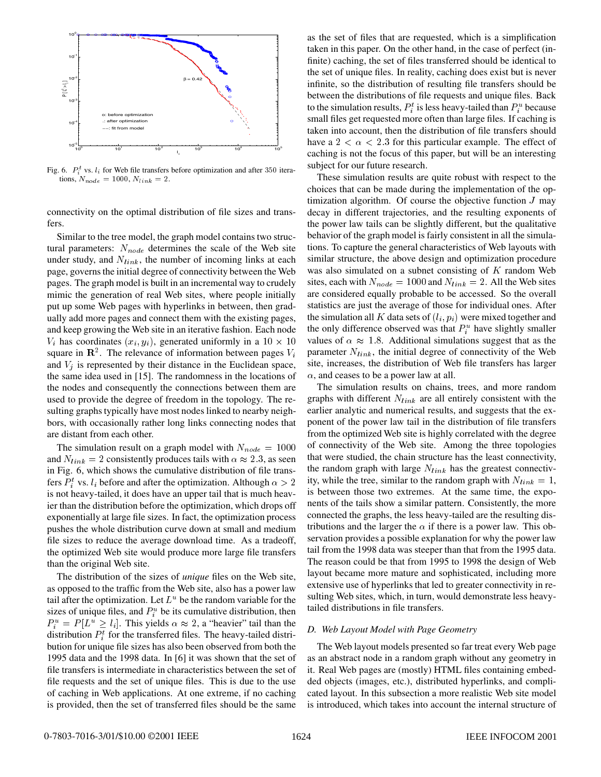

Fig. 6.  $P_i^t$  vs.  $l_i$  for Web file transfers before optimization and after 350 iterations,  $N_{node} = 1000, N_{link} = 2$ .

connectivity on the optimal distribution of file sizes and transfers.

Similar to the tree model, the graph model contains two structural parameters:  $N_{node}$  determines the scale of the Web site under study, and  $N_{link}$ , the number of incoming links at each page, governs the initial degree of connectivity between the Web pages. The graph model is built in an incremental way to crudely mimic the generation of real Web sites, where people initially put up some Web pages with hyperlinks in between, then gradually add more pages and connect them with the existing pages, and keep growing the Web site in an iterative fashion. Each node  $V_i$  has coordinates  $(x_i, y_i)$ , generated uniformly in a  $10 \times 10$ square in  $\mathbb{R}^2$ . The relevance of information between pages  $V_i$  particle and  $V_i$  is represented by their distance in the Euclidean space, the same idea used in [15]. The randomness in the locations of the nodes and consequently the connections between them are used to provide the degree of freedom in the topology. The resulting graphs typically have most nodes linked to nearby neighbors, with occasionally rather long links connecting nodes that are distant from each other.

The simulation result on a graph model with  $N_{node} = 1000$ and  $N_{link} = 2$  consistently produces tails with  $\alpha \approx 2.3$ , as seen in Fig. 6, which shows the cumulative distribution of file transfers  $P_i^t$  vs.  $l_i$  before and after the optimization. Although  $\alpha > 2$  ity, while is not heavy-tailed, it does have an upper tail that is much heavier than the distribution before the optimization, which drops off exponentially at large file sizes. In fact, the optimization process pushes the whole distribution curve down at small and medium file sizes to reduce the average download time. As a tradeoff, the optimized Web site would produce more large file transfers than the original Web site.

The distribution of the sizes of *unique* files on the Web site, as opposed to the traffic from the Web site, also has a power law tail after the optimization. Let  $L<sup>u</sup>$  be the random variable for the sizes of unique files, and  $P_i^u$  be its cumulative distribution, then  $P_i^u = P[L^u \ge l_i]$ . This yields  $\alpha \approx 2$ , a "heavier" tail than the idistribution  $P_i^t$  for the transferred files. The heavy-tailed distriibution for unique file sizes has also been observed from both the 1995 data and the 1998 data. In [6] it was shown that the set of file transfers is intermediate in characteristics between the set of file requests and the set of unique files. This is due to the use of caching in Web applications. At one extreme, if no caching is provided, then the set of transferred files should be the same as the set of files that are requested, which is a simplification taken in this paper. On the other hand, in the case of perfect (infinite) caching, the set of files transferred should be identical to the set of unique files. In reality, caching does exist but is never infinite, so the distribution of resulting file transfers should be between the distributions of file requests and unique files. Back to the simulation results,  $P_i^t$  is less heavy-tailed than  $P_i^u$  because small files get requested more often than large files. If caching is taken into account, then the distribution of file transfers should have a  $2 < \alpha < 2.3$  for this particular example. The effect of caching is not the focus of this paper, but will be an interesting subject for our future research.

10 values of  $\alpha \approx 1.8$ . Additional simulations suggest that as the These simulation results are quite robust with respect to the choices that can be made during the implementation of the optimization algorithm. Of course the objective function <sup>J</sup> may decay in different trajectories, and the resulting exponents of the power law tails can be slightly different, but the qualitative behavior of the graph model is fairly consistent in all the simulations. To capture the general characteristics of Web layouts with similar structure, the above design and optimization procedure was also simulated on a subnet consisting of <sup>K</sup> random Web sites, each with  $N_{node} = 1000$  and  $N_{link} = 2$ . All the Web sites are considered equally probable to be accessed. So the overall statistics are just the average of those for individual ones. After the simulation all K data sets of  $(l_i, p_i)$  were mixed together and the only difference observed was that  $P_i^u$  have slightly smaller parameter  $N_{link}$ , the initial degree of connectivity of the Web site, increases, the distribution of Web file transfers has larger  $\alpha$ , and ceases to be a power law at all.

The simulation results on chains, trees, and more random graphs with different  $N_{link}$  are all entirely consistent with the earlier analytic and numerical results, and suggests that the exponent of the power law tail in the distribution of file transfers from the optimized Web site is highly correlated with the degree of connectivity of the Web site. Among the three topologies that were studied, the chain structure has the least connectivity, the random graph with large  $N_{link}$  has the greatest connectivity, while the tree, similar to the random graph with  $N_{link} = 1$ , is between those two extremes. At the same time, the exponents of the tails show a similar pattern. Consistently, the more connected the graphs, the less heavy-tailed are the resulting distributions and the larger the  $\alpha$  if there is a power law. This observation provides a possible explanation for why the power law tail from the 1998 data was steeper than that from the 1995 data. The reason could be that from 1995 to 1998 the design of Web layout became more mature and sophisticated, including more extensive use of hyperlinks that led to greater connectivity in resulting Web sites, which, in turn, would demonstrate less heavytailed distributions in file transfers.

### *D. Web Layout Model with Page Geometry*

The Web layout models presented so far treat every Web page as an abstract node in a random graph without any geometry in it. Real Web pages are (mostly) HTML files containing embedded objects (images, etc.), distributed hyperlinks, and complicated layout. In this subsection a more realistic Web site model is introduced, which takes into account the internal structure of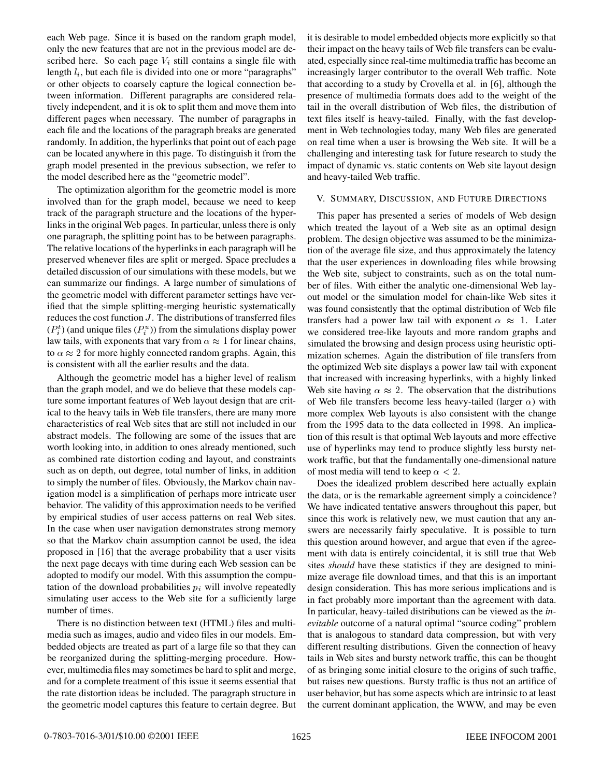each Web page. Since it is based on the random graph model, only the new features that are not in the previous model are described here. So each page  $V_i$  still contains a single file with length  $l_i$ , but each file is divided into one or more "paragraphs" or other objects to coarsely capture the logical connection between information. Different paragraphs are considered relatively independent, and it is ok to split them and move them into different pages when necessary. The number of paragraphs in each file and the locations of the paragraph breaks are generated randomly. In addition, the hyperlinks that point out of each page can be located anywhere in this page. To distinguish it from the graph model presented in the previous subsection, we refer to the model described here as the "geometric model".

The optimization algorithm for the geometric model is more involved than for the graph model, because we need to keep track of the paragraph structure and the locations of the hyperlinks in the original Web pages. In particular, unless there is only one paragraph, the splitting point has to be between paragraphs. The relative locations of the hyperlinks in each paragraph will be preserved whenever files are split or merged. Space precludes a detailed discussion of our simulations with these models, but we can summarize our findings. A large number of simulations of the geometric model with different parameter settings have verified that the simple splitting-merging heuristic systematically reduces the cost function  $J$ . The distributions of transferred files  $(P_i^t)$  (and unique files  $(P_i^u)$ ) from the simulations display power iilaw tails, with exponents that vary from  $\alpha \approx 1$  for linear chains, to  $\alpha \approx 2$  for more highly connected random graphs. Again, this is consistent with all the earlier results and the data.

Although the geometric model has a higher level of realism than the graph model, and we do believe that these models capture some important features of Web layout design that are critical to the heavy tails in Web file transfers, there are many more characteristics of real Web sites that are still not included in our abstract models. The following are some of the issues that are worth looking into, in addition to ones already mentioned, such as combined rate distortion coding and layout, and constraints such as on depth, out degree, total number of links, in addition to simply the number of files. Obviously, the Markov chain navigation model is a simplification of perhaps more intricate user behavior. The validity of this approximation needs to be verified by empirical studies of user access patterns on real Web sites. In the case when user navigation demonstrates strong memory so that the Markov chain assumption cannot be used, the idea proposed in [16] that the average probability that a user visits the next page decays with time during each Web session can be adopted to modify our model. With this assumption the computation of the download probabilities  $p_i$  will involve repeatedly simulating user access to the Web site for a sufficiently large number of times.

There is no distinction between text (HTML) files and multimedia such as images, audio and video files in our models. Embedded objects are treated as part of a large file so that they can be reorganized during the splitting-merging procedure. However, multimedia files may sometimes be hard to split and merge, and for a complete treatment of this issue it seems essential that the rate distortion ideas be included. The paragraph structure in the geometric model captures this feature to certain degree. But it is desirable to model embedded objects more explicitly so that their impact on the heavy tails of Web file transfers can be evaluated, especially since real-time multimedia traffic has become an increasingly larger contributor to the overall Web traffic. Note that according to a study by Crovella et al. in [6], although the presence of multimedia formats does add to the weight of the tail in the overall distribution of Web files, the distribution of text files itself is heavy-tailed. Finally, with the fast development in Web technologies today, many Web files are generated on real time when a user is browsing the Web site. It will be a challenging and interesting task for future research to study the impact of dynamic vs. static contents on Web site layout design and heavy-tailed Web traffic.

### V. SUMMARY, DISCUSSION, AND FUTURE DIRECTIONS

This paper has presented a series of models of Web design which treated the layout of a Web site as an optimal design problem. The design objective was assumed to be the minimization of the average file size, and thus approximately the latency that the user experiences in downloading files while browsing the Web site, subject to constraints, such as on the total number of files. With either the analytic one-dimensional Web layout model or the simulation model for chain-like Web sites it was found consistently that the optimal distribution of Web file transfers had a power law tail with exponent  $\alpha \approx 1$ . Later we considered tree-like layouts and more random graphs and simulated the browsing and design process using heuristic optimization schemes. Again the distribution of file transfers from the optimized Web site displays a power law tail with exponent that increased with increasing hyperlinks, with a highly linked Web site having  $\alpha \approx 2$ . The observation that the distributions of Web file transfers become less heavy-tailed (larger  $\alpha$ ) with more complex Web layouts is also consistent with the change from the 1995 data to the data collected in 1998. An implication of this result is that optimal Web layouts and more effective use of hyperlinks may tend to produce slightly less bursty network traffic, but that the fundamentally one-dimensional nature of most media will tend to keep  $\alpha < 2$ .

Does the idealized problem described here actually explain the data, or is the remarkable agreement simply a coincidence? We have indicated tentative answers throughout this paper, but since this work is relatively new, we must caution that any answers are necessarily fairly speculative. It is possible to turn this question around however, and argue that even if the agreement with data is entirely coincidental, it is still true that Web sites *should* have these statistics if they are designed to minimize average file download times, and that this is an important design consideration. This has more serious implications and is in fact probably more important than the agreement with data. In particular, heavy-tailed distributions can be viewed as the *inevitable* outcome of a natural optimal "source coding" problem that is analogous to standard data compression, but with very different resulting distributions. Given the connection of heavy tails in Web sites and bursty network traffic, this can be thought of as bringing some initial closure to the origins of such traffic, but raises new questions. Bursty traffic is thus not an artifice of user behavior, but has some aspects which are intrinsic to at least the current dominant application, the WWW, and may be even